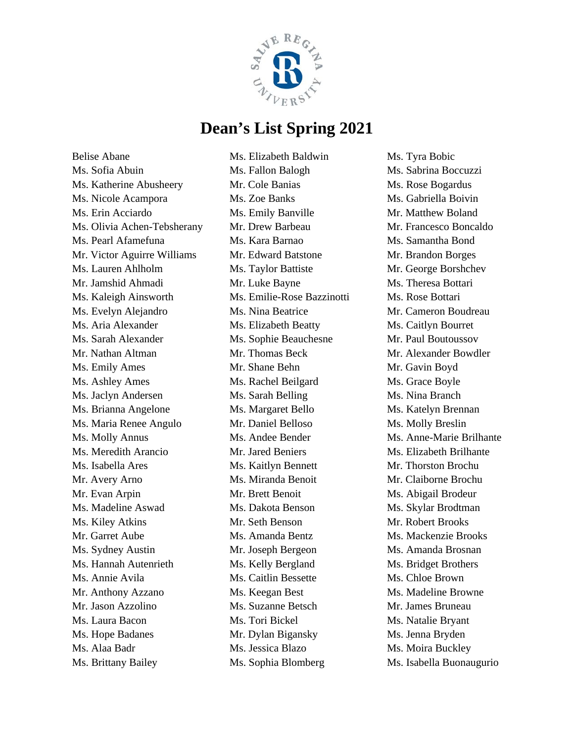

Belise Abane Ms. Sofia Abuin Ms. Katherine Abusheery Ms. Nicole Acampora Ms. Erin Acciardo Ms. Olivia Achen-Tebsherany Ms. Pearl Afamefuna Mr. Victor Aguirre Williams Ms. Lauren Ahlholm Mr. Jamshid Ahmadi Ms. Kaleigh Ainsworth Ms. Evelyn Alejandro Ms. Aria Alexander Ms. Sarah Alexander Mr. Nathan Altman Ms. Emily Ames Ms. Ashley Ames Ms. Jaclyn Andersen Ms. Brianna Angelone Ms. Maria Renee Angulo Ms. Molly Annus Ms. Meredith Arancio Ms. Isabella Ares Mr. Avery Arno Mr. Evan Arpin Ms. Madeline Aswad Ms. Kiley Atkins Mr. Garret Aube Ms. Sydney Austin Ms. Hannah Autenrieth Ms. Annie Avila Mr. Anthony Azzano Mr. Jason Azzolino Ms. Laura Bacon Ms. Hope Badanes Ms. Alaa Badr Ms. Brittany Bailey

Ms. Elizabeth Baldwin Ms. Fallon Balogh Mr. Cole Banias Ms. Zoe Banks Ms. Emily Banville Mr. Drew Barbeau Ms. Kara Barnao Mr. Edward Batstone Ms. Taylor Battiste Mr. Luke Bayne Ms. Emilie-Rose Bazzinotti Ms. Nina Beatrice Ms. Elizabeth Beatty Ms. Sophie Beauchesne Mr. Thomas Beck Mr. Shane Behn Ms. Rachel Beilgard Ms. Sarah Belling Ms. Margaret Bello Mr. Daniel Belloso Ms. Andee Bender Mr. Jared Beniers Ms. Kaitlyn Bennett Ms. Miranda Benoit Mr. Brett Benoit Ms. Dakota Benson Mr. Seth Benson Ms. Amanda Bentz Mr. Joseph Bergeon Ms. Kelly Bergland Ms. Caitlin Bessette Ms. Keegan Best Ms. Suzanne Betsch Ms. Tori Bickel Mr. Dylan Bigansky Ms. Jessica Blazo Ms. Sophia Blomberg

Ms. Tyra Bobic Ms. Sabrina Boccuzzi Ms. Rose Bogardus Ms. Gabriella Boivin Mr. Matthew Boland Mr. Francesco Boncaldo Ms. Samantha Bond Mr. Brandon Borges Mr. George Borshchev Ms. Theresa Bottari Ms. Rose Bottari Mr. Cameron Boudreau Ms. Caitlyn Bourret Mr. Paul Boutoussov Mr. Alexander Bowdler Mr. Gavin Boyd Ms. Grace Boyle Ms. Nina Branch Ms. Katelyn Brennan Ms. Molly Breslin Ms. Anne-Marie Brilhante Ms. Elizabeth Brilhante Mr. Thorston Brochu Mr. Claiborne Brochu Ms. Abigail Brodeur Ms. Skylar Brodtman Mr. Robert Brooks Ms. Mackenzie Brooks Ms. Amanda Brosnan Ms. Bridget Brothers Ms. Chloe Brown Ms. Madeline Browne Mr. James Bruneau Ms. Natalie Bryant Ms. Jenna Bryden Ms. Moira Buckley Ms. Isabella Buonaugurio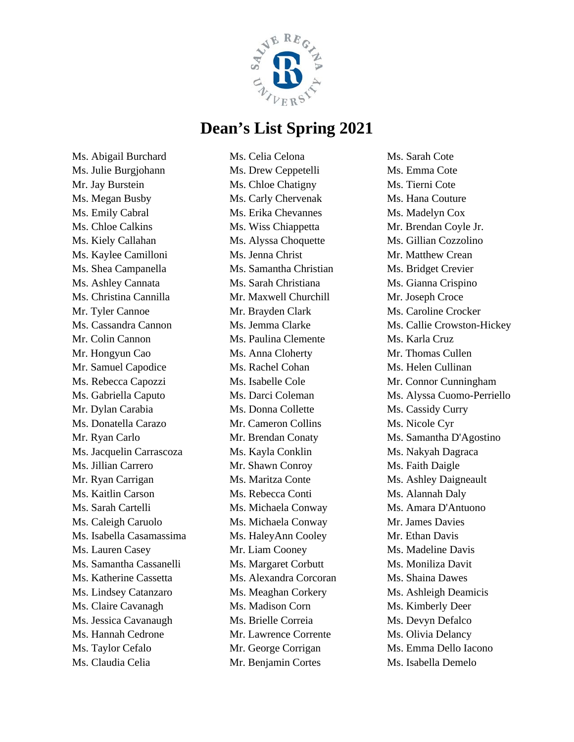

Ms. Abigail Burchard Ms. Julie Burgjohann Mr. Jay Burstein Ms. Megan Busby Ms. Emily Cabral Ms. Chloe Calkins Ms. Kiely Callahan Ms. Kaylee Camilloni Ms. Shea Campanella Ms. Ashley Cannata Ms. Christina Cannilla Mr. Tyler Cannoe Ms. Cassandra Cannon Mr. Colin Cannon Mr. Hongyun Cao Mr. Samuel Capodice Ms. Rebecca Capozzi Ms. Gabriella Caputo Mr. Dylan Carabia Ms. Donatella Carazo Mr. Ryan Carlo Ms. Jacquelin Carrascoza Ms. Jillian Carrero Mr. Ryan Carrigan Ms. Kaitlin Carson Ms. Sarah Cartelli Ms. Caleigh Caruolo Ms. Isabella Casamassima Ms. Lauren Casey Ms. Samantha Cassanelli Ms. Katherine Cassetta Ms. Lindsey Catanzaro Ms. Claire Cavanagh Ms. Jessica Cavanaugh Ms. Hannah Cedrone Ms. Taylor Cefalo Ms. Claudia Celia

Ms. Celia Celona Ms. Drew Ceppetelli Ms. Chloe Chatigny Ms. Carly Chervenak Ms. Erika Chevannes Ms. Wiss Chiappetta Ms. Alyssa Choquette Ms. Jenna Christ Ms. Samantha Christian Ms. Sarah Christiana Mr. Maxwell Churchill Mr. Brayden Clark Ms. Jemma Clarke Ms. Paulina Clemente Ms. Anna Cloherty Ms. Rachel Cohan Ms. Isabelle Cole Ms. Darci Coleman Ms. Donna Collette Mr. Cameron Collins Mr. Brendan Conaty Ms. Kayla Conklin Mr. Shawn Conroy Ms. Maritza Conte Ms. Rebecca Conti Ms. Michaela Conway Ms. Michaela Conway Ms. HaleyAnn Cooley Mr. Liam Cooney Ms. Margaret Corbutt Ms. Alexandra Corcoran Ms. Meaghan Corkery Ms. Madison Corn Ms. Brielle Correia Mr. Lawrence Corrente Mr. George Corrigan Mr. Benjamin Cortes

Ms. Sarah Cote Ms. Emma Cote Ms. Tierni Cote Ms. Hana Couture Ms. Madelyn Cox Mr. Brendan Coyle Jr. Ms. Gillian Cozzolino Mr. Matthew Crean Ms. Bridget Crevier Ms. Gianna Crispino Mr. Joseph Croce Ms. Caroline Crocker Ms. Callie Crowston-Hickey Ms. Karla Cruz Mr. Thomas Cullen Ms. Helen Cullinan Mr. Connor Cunningham Ms. Alyssa Cuomo-Perriello Ms. Cassidy Curry Ms. Nicole Cyr Ms. Samantha D'Agostino Ms. Nakyah Dagraca Ms. Faith Daigle Ms. Ashley Daigneault Ms. Alannah Daly Ms. Amara D'Antuono Mr. James Davies Mr. Ethan Davis Ms. Madeline Davis Ms. Moniliza Davit Ms. Shaina Dawes Ms. Ashleigh Deamicis Ms. Kimberly Deer Ms. Devyn Defalco Ms. Olivia Delancy Ms. Emma Dello Iacono Ms. Isabella Demelo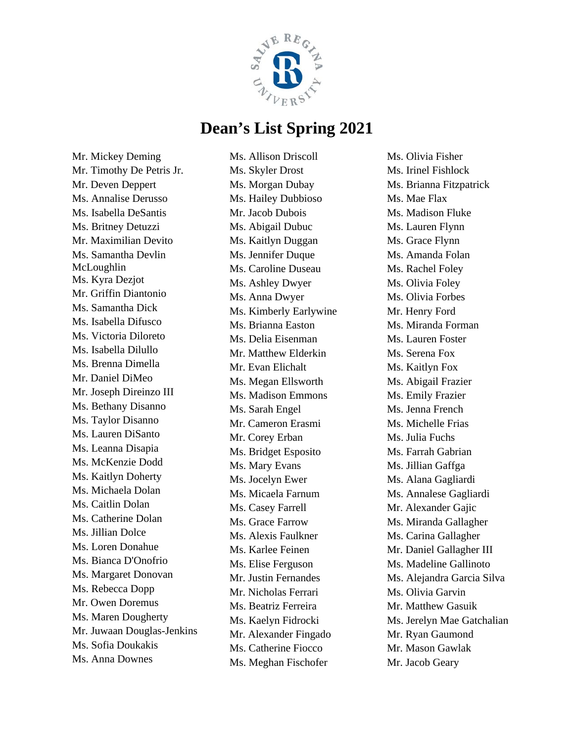

Mr. Mickey Deming Mr. Timothy De Petris Jr. Mr. Deven Deppert Ms. Annalise Derusso Ms. Isabella DeSantis Ms. Britney Detuzzi Mr. Maximilian Devito Ms. Samantha Devlin McLoughlin Ms. Kyra Dezjot Mr. Griffin Diantonio Ms. Samantha Dick Ms. Isabella Difusco Ms. Victoria Diloreto Ms. Isabella Dilullo Ms. Brenna Dimella Mr. Daniel DiMeo Mr. Joseph Direinzo III Ms. Bethany Disanno Ms. Taylor Disanno Ms. Lauren DiSanto Ms. Leanna Disapia Ms. McKenzie Dodd Ms. Kaitlyn Doherty Ms. Michaela Dolan Ms. Caitlin Dolan Ms. Catherine Dolan Ms. Jillian Dolce Ms. Loren Donahue Ms. Bianca D'Onofrio Ms. Margaret Donovan Ms. Rebecca Dopp Mr. Owen Doremus Ms. Maren Dougherty Mr. Juwaan Douglas-Jenkins Ms. Sofia Doukakis Ms. Anna Downes

Ms. Allison Driscoll Ms. Skyler Drost Ms. Morgan Dubay Ms. Hailey Dubbioso Mr. Jacob Dubois Ms. Abigail Dubuc Ms. Kaitlyn Duggan Ms. Jennifer Duque Ms. Caroline Duseau Ms. Ashley Dwyer Ms. Anna Dwyer Ms. Kimberly Earlywine Ms. Brianna Easton Ms. Delia Eisenman Mr. Matthew Elderkin Mr. Evan Elichalt Ms. Megan Ellsworth Ms. Madison Emmons Ms. Sarah Engel Mr. Cameron Erasmi Mr. Corey Erban Ms. Bridget Esposito Ms. Mary Evans Ms. Jocelyn Ewer Ms. Micaela Farnum Ms. Casey Farrell Ms. Grace Farrow Ms. Alexis Faulkner Ms. Karlee Feinen Ms. Elise Ferguson Mr. Justin Fernandes Mr. Nicholas Ferrari Ms. Beatriz Ferreira Ms. Kaelyn Fidrocki Mr. Alexander Fingado Ms. Catherine Fiocco Ms. Meghan Fischofer

Ms. Olivia Fisher Ms. Irinel Fishlock Ms. Brianna Fitzpatrick Ms. Mae Flax Ms. Madison Fluke Ms. Lauren Flynn Ms. Grace Flynn Ms. Amanda Folan Ms. Rachel Foley Ms. Olivia Foley Ms. Olivia Forbes Mr. Henry Ford Ms. Miranda Forman Ms. Lauren Foster Ms. Serena Fox Ms. Kaitlyn Fox Ms. Abigail Frazier Ms. Emily Frazier Ms. Jenna French Ms. Michelle Frias Ms. Julia Fuchs Ms. Farrah Gabrian Ms. Jillian Gaffga Ms. Alana Gagliardi Ms. Annalese Gagliardi Mr. Alexander Gajic Ms. Miranda Gallagher Ms. Carina Gallagher Mr. Daniel Gallagher III Ms. Madeline Gallinoto Ms. Alejandra Garcia Silva Ms. Olivia Garvin Mr. Matthew Gasuik Ms. Jerelyn Mae Gatchalian Mr. Ryan Gaumond Mr. Mason Gawlak Mr. Jacob Geary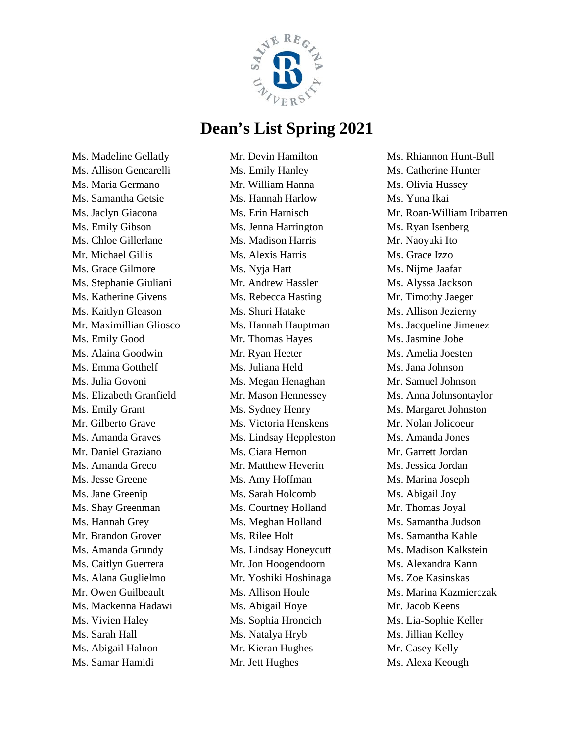

Ms. Madeline Gellatly Ms. Allison Gencarelli Ms. Maria Germano Ms. Samantha Getsie Ms. Jaclyn Giacona Ms. Emily Gibson Ms. Chloe Gillerlane Mr. Michael Gillis Ms. Grace Gilmore Ms. Stephanie Giuliani Ms. Katherine Givens Ms. Kaitlyn Gleason Mr. Maximillian Gliosco Ms. Emily Good Ms. Alaina Goodwin Ms. Emma Gotthelf Ms. Julia Govoni Ms. Elizabeth Granfield Ms. Emily Grant Mr. Gilberto Grave Ms. Amanda Graves Mr. Daniel Graziano Ms. Amanda Greco Ms. Jesse Greene Ms. Jane Greenip Ms. Shay Greenman Ms. Hannah Grey Mr. Brandon Grover Ms. Amanda Grundy Ms. Caitlyn Guerrera Ms. Alana Guglielmo Mr. Owen Guilbeault Ms. Mackenna Hadawi Ms. Vivien Haley Ms. Sarah Hall Ms. Abigail Halnon Ms. Samar Hamidi

Mr. Devin Hamilton Ms. Emily Hanley Mr. William Hanna Ms. Hannah Harlow Ms. Erin Harnisch Ms. Jenna Harrington Ms. Madison Harris Ms. Alexis Harris Ms. Nyja Hart Mr. Andrew Hassler Ms. Rebecca Hasting Ms. Shuri Hatake Ms. Hannah Hauptman Mr. Thomas Hayes Mr. Ryan Heeter Ms. Juliana Held Ms. Megan Henaghan Mr. Mason Hennessey Ms. Sydney Henry Ms. Victoria Henskens Ms. Lindsay Heppleston Ms. Ciara Hernon Mr. Matthew Heverin Ms. Amy Hoffman Ms. Sarah Holcomb Ms. Courtney Holland Ms. Meghan Holland Ms. Rilee Holt Ms. Lindsay Honeycutt Mr. Jon Hoogendoorn Mr. Yoshiki Hoshinaga Ms. Allison Houle Ms. Abigail Hoye Ms. Sophia Hroncich Ms. Natalya Hryb Mr. Kieran Hughes Mr. Jett Hughes

Ms. Rhiannon Hunt-Bull Ms. Catherine Hunter Ms. Olivia Hussey Ms. Yuna Ikai Mr. Roan-William Iribarren Ms. Ryan Isenberg Mr. Naoyuki Ito Ms. Grace Izzo Ms. Nijme Jaafar Ms. Alyssa Jackson Mr. Timothy Jaeger Ms. Allison Jezierny Ms. Jacqueline Jimenez Ms. Jasmine Jobe Ms. Amelia Joesten Ms. Jana Johnson Mr. Samuel Johnson Ms. Anna Johnsontaylor Ms. Margaret Johnston Mr. Nolan Jolicoeur Ms. Amanda Jones Mr. Garrett Jordan Ms. Jessica Jordan Ms. Marina Joseph Ms. Abigail Joy Mr. Thomas Joyal Ms. Samantha Judson Ms. Samantha Kahle Ms. Madison Kalkstein Ms. Alexandra Kann Ms. Zoe Kasinskas Ms. Marina Kazmierczak Mr. Jacob Keens Ms. Lia-Sophie Keller Ms. Jillian Kelley Mr. Casey Kelly Ms. Alexa Keough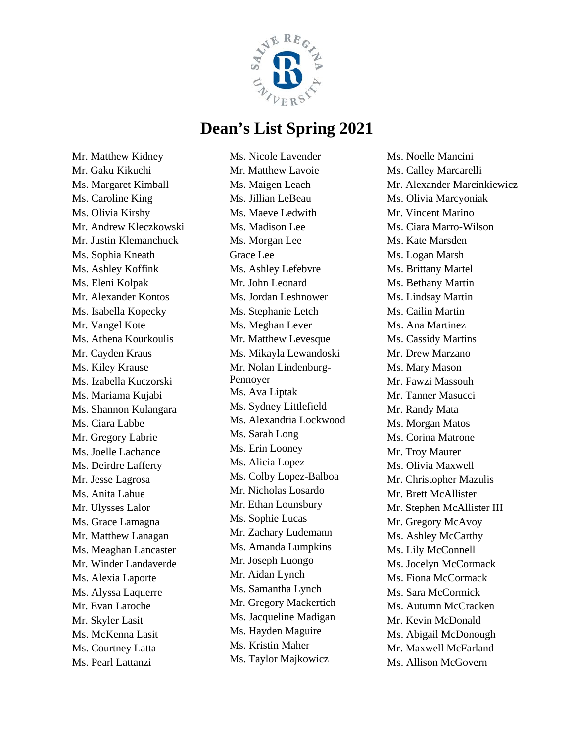

Mr. Matthew Kidney Mr. Gaku Kikuchi Ms. Margaret Kimball Ms. Caroline King Ms. Olivia Kirshy Mr. Andrew Kleczkowski Mr. Justin Klemanchuck Ms. Sophia Kneath Ms. Ashley Koffink Ms. Eleni Kolpak Mr. Alexander Kontos Ms. Isabella Kopecky Mr. Vangel Kote Ms. Athena Kourkoulis Mr. Cayden Kraus Ms. Kiley Krause Ms. Izabella Kuczorski Ms. Mariama Kujabi Ms. Shannon Kulangara Ms. Ciara Labbe Mr. Gregory Labrie Ms. Joelle Lachance Ms. Deirdre Lafferty Mr. Jesse Lagrosa Ms. Anita Lahue Mr. Ulysses Lalor Ms. Grace Lamagna Mr. Matthew Lanagan Ms. Meaghan Lancaster Mr. Winder Landaverde Ms. Alexia Laporte Ms. Alyssa Laquerre Mr. Evan Laroche Mr. Skyler Lasit Ms. McKenna Lasit Ms. Courtney Latta Ms. Pearl Lattanzi

Ms. Nicole Lavender Mr. Matthew Lavoie Ms. Maigen Leach Ms. Jillian LeBeau Ms. Maeve Ledwith Ms. Madison Lee Ms. Morgan Lee Grace Lee Ms. Ashley Lefebvre Mr. John Leonard Ms. Jordan Leshnower Ms. Stephanie Letch Ms. Meghan Lever Mr. Matthew Levesque Ms. Mikayla Lewandoski Mr. Nolan Lindenburg-Pennoyer Ms. Ava Liptak Ms. Sydney Littlefield Ms. Alexandria Lockwood Ms. Sarah Long Ms. Erin Looney Ms. Alicia Lopez Ms. Colby Lopez-Balboa Mr. Nicholas Losardo Mr. Ethan Lounsbury Ms. Sophie Lucas Mr. Zachary Ludemann Ms. Amanda Lumpkins Mr. Joseph Luongo Mr. Aidan Lynch Ms. Samantha Lynch Mr. Gregory Mackertich Ms. Jacqueline Madigan Ms. Hayden Maguire Ms. Kristin Maher Ms. Taylor Majkowicz

Ms. Noelle Mancini Ms. Calley Marcarelli Mr. Alexander Marcinkiewicz Ms. Olivia Marcyoniak Mr. Vincent Marino Ms. Ciara Marro-Wilson Ms. Kate Marsden Ms. Logan Marsh Ms. Brittany Martel Ms. Bethany Martin Ms. Lindsay Martin Ms. Cailin Martin Ms. Ana Martinez Ms. Cassidy Martins Mr. Drew Marzano Ms. Mary Mason Mr. Fawzi Massouh Mr. Tanner Masucci Mr. Randy Mata Ms. Morgan Matos Ms. Corina Matrone Mr. Troy Maurer Ms. Olivia Maxwell Mr. Christopher Mazulis Mr. Brett McAllister Mr. Stephen McAllister III Mr. Gregory McAvoy Ms. Ashley McCarthy Ms. Lily McConnell Ms. Jocelyn McCormack Ms. Fiona McCormack Ms. Sara McCormick Ms. Autumn McCracken Mr. Kevin McDonald Ms. Abigail McDonough Mr. Maxwell McFarland Ms. Allison McGovern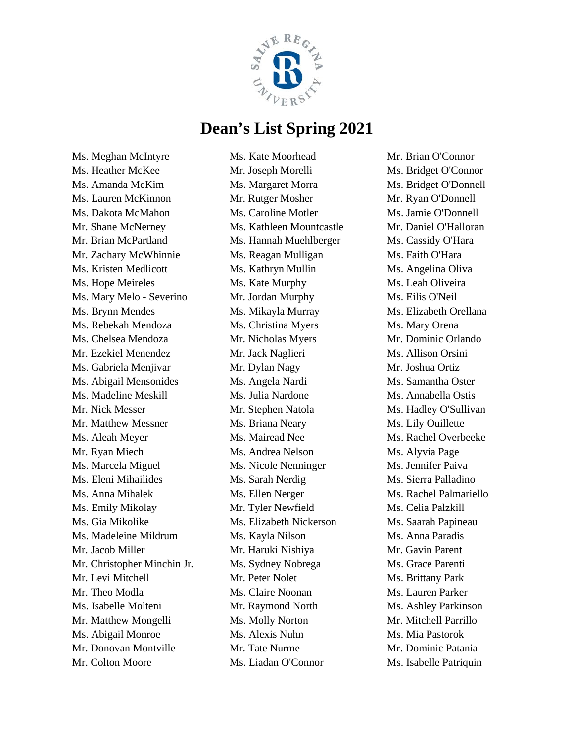

Ms. Meghan McIntyre Ms. Heather McKee Ms. Amanda McKim Ms. Lauren McKinnon Ms. Dakota McMahon Mr. Shane McNerney Mr. Brian McPartland Mr. Zachary McWhinnie Ms. Kristen Medlicott Ms. Hope Meireles Ms. Mary Melo - Severino Ms. Brynn Mendes Ms. Rebekah Mendoza Ms. Chelsea Mendoza Mr. Ezekiel Menendez Ms. Gabriela Menjivar Ms. Abigail Mensonides Ms. Madeline Meskill Mr. Nick Messer Mr. Matthew Messner Ms. Aleah Meyer Mr. Ryan Miech Ms. Marcela Miguel Ms. Eleni Mihailides Ms. Anna Mihalek Ms. Emily Mikolay Ms. Gia Mikolike Ms. Madeleine Mildrum Mr. Jacob Miller Mr. Christopher Minchin Jr. Mr. Levi Mitchell Mr. Theo Modla Ms. Isabelle Molteni Mr. Matthew Mongelli Ms. Abigail Monroe Mr. Donovan Montville Mr. Colton Moore

Ms. Kate Moorhead Mr. Joseph Morelli Ms. Margaret Morra Mr. Rutger Mosher Ms. Caroline Motler Ms. Kathleen Mountcastle Ms. Hannah Muehlberger Ms. Reagan Mulligan Ms. Kathryn Mullin Ms. Kate Murphy Mr. Jordan Murphy Ms. Mikayla Murray Ms. Christina Myers Mr. Nicholas Myers Mr. Jack Naglieri Mr. Dylan Nagy Ms. Angela Nardi Ms. Julia Nardone Mr. Stephen Natola Ms. Briana Neary Ms. Mairead Nee Ms. Andrea Nelson Ms. Nicole Nenninger Ms. Sarah Nerdig Ms. Ellen Nerger Mr. Tyler Newfield Ms. Elizabeth Nickerson Ms. Kayla Nilson Mr. Haruki Nishiya Ms. Sydney Nobrega Mr. Peter Nolet Ms. Claire Noonan Mr. Raymond North Ms. Molly Norton Ms. Alexis Nuhn Mr. Tate Nurme Ms. Liadan O'Connor

Mr. Brian O'Connor Ms. Bridget O'Connor Ms. Bridget O'Donnell Mr. Ryan O'Donnell Ms. Jamie O'Donnell Mr. Daniel O'Halloran Ms. Cassidy O'Hara Ms. Faith O'Hara Ms. Angelina Oliva Ms. Leah Oliveira Ms. Eilis O'Neil Ms. Elizabeth Orellana Ms. Mary Orena Mr. Dominic Orlando Ms. Allison Orsini Mr. Joshua Ortiz Ms. Samantha Oster Ms. Annabella Ostis Ms. Hadley O'Sullivan Ms. Lily Ouillette Ms. Rachel Overbeeke Ms. Alyvia Page Ms. Jennifer Paiva Ms. Sierra Palladino Ms. Rachel Palmariello Ms. Celia Palzkill Ms. Saarah Papineau Ms. Anna Paradis Mr. Gavin Parent Ms. Grace Parenti Ms. Brittany Park Ms. Lauren Parker Ms. Ashley Parkinson Mr. Mitchell Parrillo Ms. Mia Pastorok Mr. Dominic Patania Ms. Isabelle Patriquin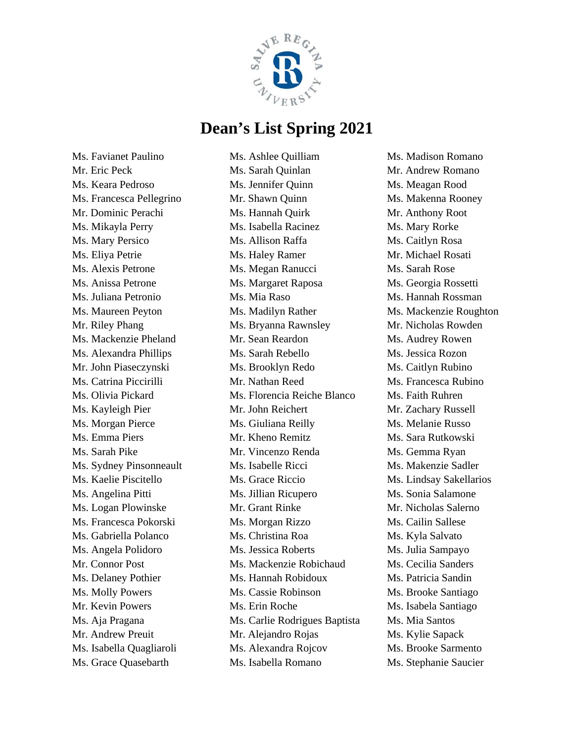

Ms. Favianet Paulino Mr. Eric Peck Ms. Keara Pedroso Ms. Francesca Pellegrino Mr. Dominic Perachi Ms. Mikayla Perry Ms. Mary Persico Ms. Eliya Petrie Ms. Alexis Petrone Ms. Anissa Petrone Ms. Juliana Petronio Ms. Maureen Peyton Mr. Riley Phang Ms. Mackenzie Pheland Ms. Alexandra Phillips Mr. John Piaseczynski Ms. Catrina Piccirilli Ms. Olivia Pickard Ms. Kayleigh Pier Ms. Morgan Pierce Ms. Emma Piers Ms. Sarah Pike Ms. Sydney Pinsonneault Ms. Kaelie Piscitello Ms. Angelina Pitti Ms. Logan Plowinske Ms. Francesca Pokorski Ms. Gabriella Polanco Ms. Angela Polidoro Mr. Connor Post Ms. Delaney Pothier Ms. Molly Powers Mr. Kevin Powers Ms. Aja Pragana Mr. Andrew Preuit Ms. Isabella Quagliaroli Ms. Grace Quasebarth

Ms. Ashlee Quilliam Ms. Sarah Quinlan Ms. Jennifer Quinn Mr. Shawn Quinn Ms. Hannah Quirk Ms. Isabella Racinez Ms. Allison Raffa Ms. Haley Ramer Ms. Megan Ranucci Ms. Margaret Raposa Ms. Mia Raso Ms. Madilyn Rather Ms. Bryanna Rawnsley Mr. Sean Reardon Ms. Sarah Rebello Ms. Brooklyn Redo Mr. Nathan Reed Ms. Florencia Reiche Blanco Mr. John Reichert Ms. Giuliana Reilly Mr. Kheno Remitz Mr. Vincenzo Renda Ms. Isabelle Ricci Ms. Grace Riccio Ms. Jillian Ricupero Mr. Grant Rinke Ms. Morgan Rizzo Ms. Christina Roa Ms. Jessica Roberts Ms. Mackenzie Robichaud Ms. Hannah Robidoux Ms. Cassie Robinson Ms. Erin Roche Ms. Carlie Rodrigues Baptista Mr. Alejandro Rojas Ms. Alexandra Rojcov Ms. Isabella Romano

Ms. Madison Romano Mr. Andrew Romano Ms. Meagan Rood Ms. Makenna Rooney Mr. Anthony Root Ms. Mary Rorke Ms. Caitlyn Rosa Mr. Michael Rosati Ms. Sarah Rose Ms. Georgia Rossetti Ms. Hannah Rossman Ms. Mackenzie Roughton Mr. Nicholas Rowden Ms. Audrey Rowen Ms. Jessica Rozon Ms. Caitlyn Rubino Ms. Francesca Rubino Ms. Faith Ruhren Mr. Zachary Russell Ms. Melanie Russo Ms. Sara Rutkowski Ms. Gemma Ryan Ms. Makenzie Sadler Ms. Lindsay Sakellarios Ms. Sonia Salamone Mr. Nicholas Salerno Ms. Cailin Sallese Ms. Kyla Salvato Ms. Julia Sampayo Ms. Cecilia Sanders Ms. Patricia Sandin Ms. Brooke Santiago Ms. Isabela Santiago Ms. Mia Santos Ms. Kylie Sapack Ms. Brooke Sarmento Ms. Stephanie Saucier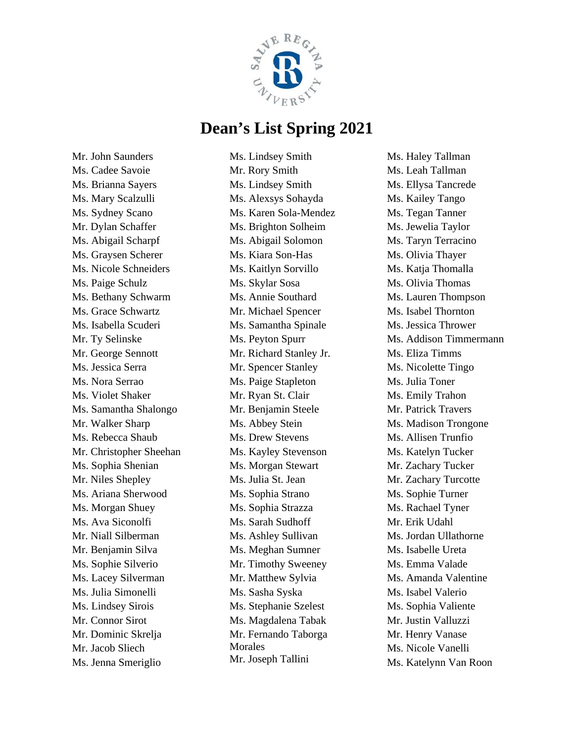

Mr. John Saunders Ms. Cadee Savoie Ms. Brianna Sayers Ms. Mary Scalzulli Ms. Sydney Scano Mr. Dylan Schaffer Ms. Abigail Scharpf Ms. Graysen Scherer Ms. Nicole Schneiders Ms. Paige Schulz Ms. Bethany Schwarm Ms. Grace Schwartz Ms. Isabella Scuderi Mr. Ty Selinske Mr. George Sennott Ms. Jessica Serra Ms. Nora Serrao Ms. Violet Shaker Ms. Samantha Shalongo Mr. Walker Sharp Ms. Rebecca Shaub Mr. Christopher Sheehan Ms. Sophia Shenian Mr. Niles Shepley Ms. Ariana Sherwood Ms. Morgan Shuey Ms. Ava Siconolfi Mr. Niall Silberman Mr. Benjamin Silva Ms. Sophie Silverio Ms. Lacey Silverman Ms. Julia Simonelli Ms. Lindsey Sirois Mr. Connor Sirot Mr. Dominic Skrelja Mr. Jacob Sliech Ms. Jenna Smeriglio

Ms. Lindsey Smith Mr. Rory Smith Ms. Lindsey Smith Ms. Alexsys Sohayda Ms. Karen Sola-Mendez Ms. Brighton Solheim Ms. Abigail Solomon Ms. Kiara Son-Has Ms. Kaitlyn Sorvillo Ms. Skylar Sosa Ms. Annie Southard Mr. Michael Spencer Ms. Samantha Spinale Ms. Peyton Spurr Mr. Richard Stanley Jr. Mr. Spencer Stanley Ms. Paige Stapleton Mr. Ryan St. Clair Mr. Benjamin Steele Ms. Abbey Stein Ms. Drew Stevens Ms. Kayley Stevenson Ms. Morgan Stewart Ms. Julia St. Jean Ms. Sophia Strano Ms. Sophia Strazza Ms. Sarah Sudhoff Ms. Ashley Sullivan Ms. Meghan Sumner Mr. Timothy Sweeney Mr. Matthew Sylvia Ms. Sasha Syska Ms. Stephanie Szelest Ms. Magdalena Tabak Mr. Fernando Taborga Morales Mr. Joseph Tallini

Ms. Haley Tallman Ms. Leah Tallman Ms. Ellysa Tancrede Ms. Kailey Tango Ms. Tegan Tanner Ms. Jewelia Taylor Ms. Taryn Terracino Ms. Olivia Thayer Ms. Katja Thomalla Ms. Olivia Thomas Ms. Lauren Thompson Ms. Isabel Thornton Ms. Jessica Thrower Ms. Addison Timmermann Ms. Eliza Timms Ms. Nicolette Tingo Ms. Julia Toner Ms. Emily Trahon Mr. Patrick Travers Ms. Madison Trongone Ms. Allisen Trunfio Ms. Katelyn Tucker Mr. Zachary Tucker Mr. Zachary Turcotte Ms. Sophie Turner Ms. Rachael Tyner Mr. Erik Udahl Ms. Jordan Ullathorne Ms. Isabelle Ureta Ms. Emma Valade Ms. Amanda Valentine Ms. Isabel Valerio Ms. Sophia Valiente Mr. Justin Valluzzi Mr. Henry Vanase Ms. Nicole Vanelli Ms. Katelynn Van Roon